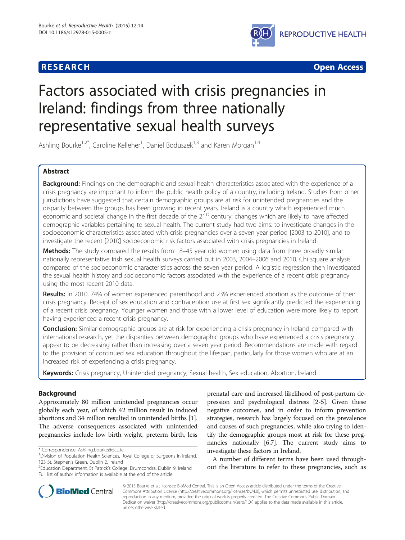

**RESEARCH CHEAR CHEAR CHEAR CHEAR CHEAR CHEAR CHEAR CHEAR CHEAR CHEAR CHEAR CHEAR CHEAR CHEAR CHEAR CHEAR CHEAR** 

# Factors associated with crisis pregnancies in Ireland: findings from three nationally representative sexual health surveys

Ashling Bourke<sup>1,2\*</sup>, Caroline Kelleher<sup>1</sup>, Daniel Boduszek<sup>1,3</sup> and Karen Morgan<sup>1,4</sup>

#### Abstract

Background: Findings on the demographic and sexual health characteristics associated with the experience of a crisis pregnancy are important to inform the public health policy of a country, including Ireland. Studies from other jurisdictions have suggested that certain demographic groups are at risk for unintended pregnancies and the disparity between the groups has been growing in recent years. Ireland is a country which experienced much economic and societal change in the first decade of the 21<sup>st</sup> century; changes which are likely to have affected demographic variables pertaining to sexual health. The current study had two aims: to investigate changes in the socioeconomic characteristics associated with crisis pregnancies over a seven year period [2003 to 2010], and to investigate the recent [2010] socioeconomic risk factors associated with crisis pregnancies in Ireland.

Methods: The study compared the results from 18-45 year old women using data from three broadly similar nationally representative Irish sexual health surveys carried out in 2003, 2004–2006 and 2010. Chi square analysis compared of the socioeconomic characteristics across the seven year period. A logistic regression then investigated the sexual health history and socioeconomic factors associated with the experience of a recent crisis pregnancy using the most recent 2010 data.

Results: In 2010, 74% of women experienced parenthood and 23% experienced abortion as the outcome of their crisis pregnancy. Receipt of sex education and contraception use at first sex significantly predicted the experiencing of a recent crisis pregnancy. Younger women and those with a lower level of education were more likely to report having experienced a recent crisis pregnancy.

**Conclusion:** Similar demographic groups are at risk for experiencing a crisis pregnancy in Ireland compared with international research, yet the disparities between demographic groups who have experienced a crisis pregnancy appear to be decreasing rather than increasing over a seven year period. Recommendations are made with regard to the provision of continued sex education throughout the lifespan, particularly for those women who are at an increased risk of experiencing a crisis pregnancy.

Keywords: Crisis pregnancy, Unintended pregnancy, Sexual health, Sex education, Abortion, Ireland

### Background

Approximately 80 million unintended pregnancies occur globally each year, of which 42 million result in induced abortions and 34 million resulted in unintended births [[1](#page-9-0)]. The adverse consequences associated with unintended pregnancies include low birth weight, preterm birth, less

prenatal care and increased likelihood of post-partum depression and psychological distress [[2](#page-9-0)-[5\]](#page-9-0). Given these negative outcomes, and in order to inform prevention strategies, research has largely focused on the prevalence and causes of such pregnancies, while also trying to identify the demographic groups most at risk for these pregnancies nationally [\[6,7\]](#page-9-0). The current study aims to investigate these factors in Ireland.

A number of different terms have been used throughout the literature to refer to these pregnancies, such as



© 2015 Bourke et al.; licensee BioMed Central. This is an Open Access article distributed under the terms of the Creative Commons Attribution License [\(http://creativecommons.org/licenses/by/4.0\)](http://creativecommons.org/licenses/by/4.0), which permits unrestricted use, distribution, and reproduction in any medium, provided the original work is properly credited. The Creative Commons Public Domain Dedication waiver [\(http://creativecommons.org/publicdomain/zero/1.0/](http://creativecommons.org/publicdomain/zero/1.0/)) applies to the data made available in this article, unless otherwise stated.

<sup>\*</sup> Correspondence: [Ashling.bourke@dcu.ie](mailto:Ashling.bourke@dcu.ie) <sup>1</sup>

 $1$ Division of Population Health Sciences, Royal College of Surgeons in Ireland, 123 St. Stephen's Green, Dublin 2, Ireland

<sup>&</sup>lt;sup>2</sup>Education Department, St Patrick's College, Drumcondra, Dublin 9, Ireland Full list of author information is available at the end of the article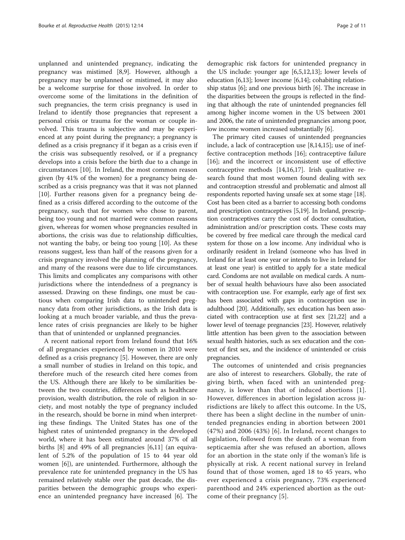unplanned and unintended pregnancy, indicating the pregnancy was mistimed [[8,9\]](#page-9-0). However, although a pregnancy may be unplanned or mistimed, it may also be a welcome surprise for those involved. In order to overcome some of the limitations in the definition of such pregnancies, the term crisis pregnancy is used in Ireland to identify those pregnancies that represent a personal crisis or trauma for the woman or couple involved. This trauma is subjective and may be experienced at any point during the pregnancy; a pregnancy is defined as a crisis pregnancy if it began as a crisis even if the crisis was subsequently resolved, or if a pregnancy develops into a crisis before the birth due to a change in circumstances [[10\]](#page-9-0). In Ireland, the most common reason given (by 41% of the women) for a pregnancy being described as a crisis pregnancy was that it was not planned [[10\]](#page-9-0). Further reasons given for a pregnancy being defined as a crisis differed according to the outcome of the pregnancy, such that for women who chose to parent, being too young and not married were common reasons given, whereas for women whose pregnancies resulted in abortions, the crisis was due to relationship difficulties, not wanting the baby, or being too young [[10\]](#page-9-0). As these reasons suggest, less than half of the reasons given for a crisis pregnancy involved the planning of the pregnancy, and many of the reasons were due to life circumstances. This limits and complicates any comparisons with other jurisdictions where the intendedness of a pregnancy is assessed. Drawing on these findings, one must be cautious when comparing Irish data to unintended pregnancy data from other jurisdictions, as the Irish data is looking at a much broader variable, and thus the prevalence rates of crisis pregnancies are likely to be higher than that of unintended or unplanned pregnancies.

A recent national report from Ireland found that 16% of all pregnancies experienced by women in 2010 were defined as a crisis pregnancy [[5\]](#page-9-0). However, there are only a small number of studies in Ireland on this topic, and therefore much of the research cited here comes from the US. Although there are likely to be similarities between the two countries, differences such as healthcare provision, wealth distribution, the role of religion in society, and most notably the type of pregnancy included in the research, should be borne in mind when interpreting these findings. The United States has one of the highest rates of unintended pregnancy in the developed world, where it has been estimated around 37% of all births [\[8](#page-9-0)] and 49% of all pregnancies [[6,11\]](#page-9-0) (an equivalent of 5.2% of the population of 15 to 44 year old women [[6\]](#page-9-0)), are unintended. Furthermore, although the prevalence rate for unintended pregnancy in the US has remained relatively stable over the past decade, the disparities between the demographic groups who experience an unintended pregnancy have increased [[6\]](#page-9-0). The

demographic risk factors for unintended pregnancy in the US include: younger age [\[6,5,12](#page-9-0)[,13\]](#page-10-0); lower levels of education [[6,](#page-9-0)[13](#page-10-0)]; lower income [\[6](#page-9-0)[,14\]](#page-10-0); cohabiting relationship status [\[6](#page-9-0)]; and one previous birth [[6](#page-9-0)]. The increase in the disparities between the groups is reflected in the finding that although the rate of unintended pregnancies fell among higher income women in the US between 2001 and 2006, the rate of unintended pregnancies among poor, low income women increased substantially [\[6\]](#page-9-0).

The primary cited causes of unintended pregnancies include, a lack of contraception use [[8,](#page-9-0)[14](#page-10-0),[15](#page-10-0)]; use of ineffective contraception methods [\[16\]](#page-10-0); contraceptive failure [[16\]](#page-10-0); and the incorrect or inconsistent use of effective contraceptive methods [[14](#page-10-0),[16,17](#page-10-0)]. Irish qualitative research found that most women found dealing with sex and contraception stressful and problematic and almost all respondents reported having unsafe sex at some stage [\[18](#page-10-0)]. Cost has been cited as a barrier to accessing both condoms and prescription contraceptives [\[5,](#page-9-0)[19](#page-10-0)]. In Ireland, prescription contraceptives carry the cost of doctor consultation, administration and/or prescription costs. These costs may be covered by free medical care through the medical card system for those on a low income. Any individual who is ordinarily resident in Ireland (someone who has lived in Ireland for at least one year or intends to live in Ireland for at least one year) is entitled to apply for a state medical card. Condoms are not available on medical cards. A number of sexual health behaviours have also been associated with contraception use. For example, early age of first sex has been associated with gaps in contraception use in adulthood [\[20\]](#page-10-0). Additionally, sex education has been associated with contraception use at first sex [[21,22\]](#page-10-0) and a lower level of teenage pregnancies [\[23\]](#page-10-0). However, relatively little attention has been given to the association between sexual health histories, such as sex education and the context of first sex, and the incidence of unintended or crisis pregnancies.

The outcomes of unintended and crisis pregnancies are also of interest to researchers. Globally, the rate of giving birth, when faced with an unintended pregnancy, is lower than that of induced abortions [[1](#page-9-0)]. However, differences in abortion legislation across jurisdictions are likely to affect this outcome. In the US, there has been a slight decline in the number of unintended pregnancies ending in abortion between 2001 (47%) and 2006 (43%) [[6](#page-9-0)]. In Ireland, recent changes to legislation, followed from the death of a woman from septicaemia after she was refused an abortion, allows for an abortion in the state only if the woman's life is physically at risk. A recent national survey in Ireland found that of those women, aged 18 to 45 years, who ever experienced a crisis pregnancy, 73% experienced parenthood and 24% experienced abortion as the outcome of their pregnancy [[5\]](#page-9-0).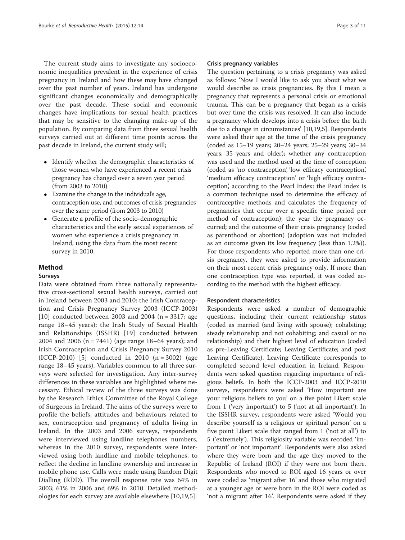The current study aims to investigate any socioeconomic inequalities prevalent in the experience of crisis pregnancy in Ireland and how these may have changed over the past number of years. Ireland has undergone significant changes economically and demographically over the past decade. These social and economic changes have implications for sexual health practices that may be sensitive to the changing make-up of the population. By comparing data from three sexual health surveys carried out at different time points across the past decade in Ireland, the current study will;

- Identify whether the demographic characteristics of those women who have experienced a recent crisis pregnancy has changed over a seven year period (from 2003 to 2010)
- Examine the change in the individual's age, contraception use, and outcomes of crisis pregnancies over the same period (from 2003 to 2010)
- Generate a profile of the socio-demographic characteristics and the early sexual experiences of women who experience a crisis pregnancy in Ireland, using the data from the most recent survey in 2010.

#### Method

#### Surveys

Data were obtained from three nationally representative cross-sectional sexual health surveys, carried out in Ireland between 2003 and 2010: the Irish Contraception and Crisis Pregnancy Survey 2003 (ICCP-2003) [[10](#page-9-0)] conducted between 2003 and 2004 ( $n = 3317$ ; age range 18–45 years); the Irish Study of Sexual Health and Relationships (ISSHR) [\[19\]](#page-10-0) conducted between 2004 and 2006 (n = 7441) (age range 18–64 years); and Irish Contraception and Crisis Pregnancy Survey 2010  $(ICCP-2010)$  [[5\]](#page-9-0) conducted in 2010  $(n = 3002)$  (age range 18–45 years). Variables common to all three surveys were selected for investigation. Any inter-survey differences in these variables are highlighted where necessary. Ethical review of the three surveys was done by the Research Ethics Committee of the Royal College of Surgeons in Ireland. The aims of the surveys were to profile the beliefs, attitudes and behaviours related to sex, contraception and pregnancy of adults living in Ireland. In the 2003 and 2006 surveys, respondents were interviewed using landline telephones numbers, whereas in the 2010 survey, respondents were interviewed using both landline and mobile telephones, to reflect the decline in landline ownership and increase in mobile phone use. Calls were made using Random Digit Dialling (RDD). The overall response rate was 64% in 2003; 61% in 2006 and 69% in 2010. Detailed methodologies for each survey are available elsewhere [\[10](#page-9-0),[19,](#page-10-0)[5\]](#page-9-0).

#### Crisis pregnancy variables

The question pertaining to a crisis pregnancy was asked as follows: 'Now I would like to ask you about what we would describe as crisis pregnancies. By this I mean a pregnancy that represents a personal crisis or emotional trauma. This can be a pregnancy that began as a crisis but over time the crisis was resolved. It can also include a pregnancy which develops into a crisis before the birth due to a change in circumstances' [\[10](#page-9-0)[,19](#page-10-0)[,5](#page-9-0)]. Respondents were asked their age at the time of the crisis pregnancy (coded as 15–19 years; 20–24 years; 25–29 years; 30–34 years; 35 years and older); whether any contraception was used and the method used at the time of conception (coded as 'no contraception', 'low efficacy contraception', 'medium efficacy contraception' or 'high efficacy contraception', according to the Pearl Index: the Pearl index is a common technique used to determine the efficacy of contraceptive methods and calculates the frequency of pregnancies that occur over a specific time period per method of contraception); the year the pregnancy occurred; and the outcome of their crisis pregnancy (coded as parenthood or abortion) (adoption was not included as an outcome given its low frequency (less than 1.2%)). For those respondents who reported more than one crisis pregnancy, they were asked to provide information on their most recent crisis pregnancy only. If more than one contraception type was reported, it was coded according to the method with the highest efficacy.

#### Respondent characteristics

Respondents were asked a number of demographic questions, including their current relationship status (coded as married (and living with spouse); cohabiting; steady relationship and not cohabiting; and casual or no relationship) and their highest level of education (coded as pre-Leaving Certificate; Leaving Certificate; and post Leaving Certificate). Leaving Certificate corresponds to completed second level education in Ireland. Respondents were asked question regarding importance of religious beliefs. In both the ICCP-2003 and ICCP-2010 surveys, respondents were asked 'How important are your religious beliefs to you' on a five point Likert scale from 1 ('very important') to 5 ('not at all important'). In the ISSHR survey, respondents were asked 'Would you describe yourself as a religious or spiritual person' on a five point Likert scale that ranged from 1 ('not at all') to 5 ('extremely'). This religiosity variable was recoded 'important' or 'not important'. Respondents were also asked where they were born and the age they moved to the Republic of Ireland (ROI) if they were not born there. Respondents who moved to ROI aged 16 years or over were coded as 'migrant after 16' and those who migrated at a younger age or were born in the ROI were coded as 'not a migrant after 16'. Respondents were asked if they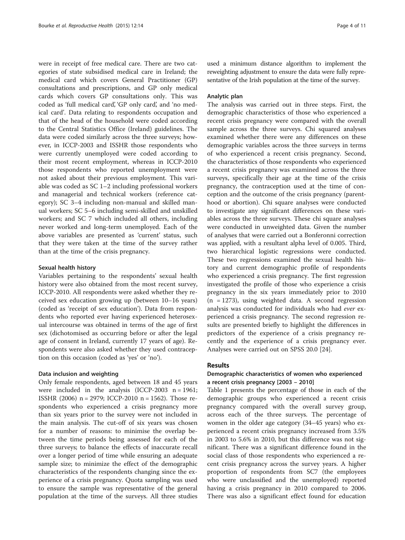were in receipt of free medical care. There are two categories of state subsidised medical care in Ireland; the medical card which covers General Practitioner (GP) consultations and prescriptions, and GP only medical cards which covers GP consultations only. This was coded as 'full medical card', 'GP only card', and 'no medical card'. Data relating to respondents occupation and that of the head of the household were coded according to the Central Statistics Office (Ireland) guidelines. The data were coded similarly across the three surveys; however, in ICCP-2003 and ISSHR those respondents who were currently unemployed were coded according to their most recent employment, whereas in ICCP-2010 those respondents who reported unemployment were not asked about their previous employment. This variable was coded as SC 1–2 including professional workers and managerial and technical workers (reference category); SC 3–4 including non-manual and skilled manual workers; SC 5–6 including semi-skilled and unskilled workers; and SC 7 which included all others, including never worked and long-term unemployed. Each of the above variables are presented as 'current' status, such that they were taken at the time of the survey rather than at the time of the crisis pregnancy.

#### Sexual health history

Variables pertaining to the respondents' sexual health history were also obtained from the most recent survey, ICCP-2010. All respondents were asked whether they received sex education growing up (between 10–16 years) (coded as 'receipt of sex education'). Data from respondents who reported ever having experienced heterosexual intercourse was obtained in terms of the age of first sex (dichotomised as occurring before or after the legal age of consent in Ireland, currently 17 years of age). Respondents were also asked whether they used contraception on this occasion (coded as 'yes' or 'no').

#### Data inclusion and weighting

Only female respondents, aged between 18 and 45 years were included in the analysis (ICCP-2003  $n = 1961$ ; ISSHR (2006) n = 2979; ICCP-2010 n = 1562). Those respondents who experienced a crisis pregnancy more than six years prior to the survey were not included in the main analysis. The cut-off of six years was chosen for a number of reasons: to minimise the overlap between the time periods being assessed for each of the three surveys; to balance the effects of inaccurate recall over a longer period of time while ensuring an adequate sample size; to minimize the effect of the demographic characteristics of the respondents changing since the experience of a crisis pregnancy. Quota sampling was used to ensure the sample was representative of the general population at the time of the surveys. All three studies

used a minimum distance algorithm to implement the reweighting adjustment to ensure the data were fully representative of the Irish population at the time of the survey.

#### Analytic plan

The analysis was carried out in three steps. First, the demographic characteristics of those who experienced a recent crisis pregnancy were compared with the overall sample across the three surveys. Chi squared analyses examined whether there were any differences on these demographic variables across the three surveys in terms of who experienced a recent crisis pregnancy. Second, the characteristics of those respondents who experienced a recent crisis pregnancy was examined across the three surveys, specifically their age at the time of the crisis pregnancy, the contraception used at the time of conception and the outcome of the crisis pregnancy (parenthood or abortion). Chi square analyses were conducted to investigate any significant differences on these variables across the three surveys. These chi square analyses were conducted in unweighted data. Given the number of analyses that were carried out a Bonferonni correction was applied, with a resultant alpha level of 0.005. Third, two hierarchical logistic regressions were conducted. These two regressions examined the sexual health history and current demographic profile of respondents who experienced a crisis pregnancy. The first regression investigated the profile of those who experience a crisis pregnancy in the six years immediately prior to 2010  $(n = 1273)$ , using weighted data. A second regression analysis was conducted for individuals who had ever experienced a crisis pregnancy. The second regression results are presented briefly to highlight the differences in predictors of the experience of a crisis pregnancy recently and the experience of a crisis pregnancy ever. Analyses were carried out on SPSS 20.0 [\[24](#page-10-0)].

#### Results

#### Demographic characteristics of women who experienced a recent crisis pregnancy [2003 – 2010]

Table [1](#page-4-0) presents the percentage of those in each of the demographic groups who experienced a recent crisis pregnancy compared with the overall survey group, across each of the three surveys. The percentage of women in the older age category (34–45 years) who experienced a recent crisis pregnancy increased from 3.5% in 2003 to 5.6% in 2010, but this difference was not significant. There was a significant difference found in the social class of those respondents who experienced a recent crisis pregnancy across the survey years. A higher proportion of respondents from SC7 (the employees who were unclassified and the unemployed) reported having a crisis pregnancy in 2010 compared to 2006. There was also a significant effect found for education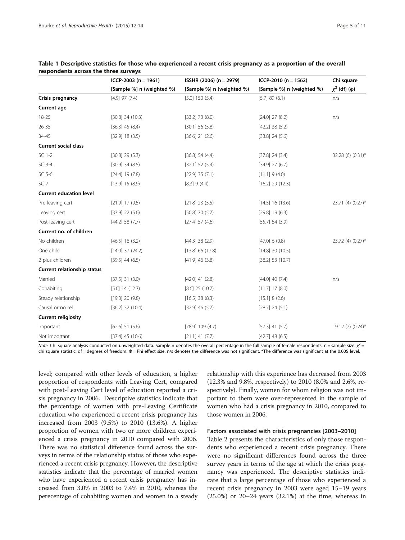|                                    | ICCP-2003 ( $n = 1961$ )                | ISSHR (2006) (n = 2979)   | ICCP-2010 ( $n = 1562$ )  | Chi square               |  |
|------------------------------------|-----------------------------------------|---------------------------|---------------------------|--------------------------|--|
|                                    | [Sample %] n (weighted %)               | [Sample %] n (weighted %) | [Sample %] n (weighted %) | $\chi^2$ (df) ( $\phi$ ) |  |
| Crisis pregnancy                   | $[4.9]$ 97 (7.4)                        | $[5.0]$ 150 (5.4)         | $[5.7]$ 89 (6.1)          | n/s                      |  |
| <b>Current age</b>                 |                                         |                           |                           |                          |  |
| 18-25                              | $[30.8]$ 34 (10.3)<br>$[33.2]$ 73 (8.0) |                           | $[24.0]$ 27 (8.2)         | n/s                      |  |
| $26 - 35$                          | $[36.3]$ 45 (8.4)                       | $[30.1]$ 56 (5.8)         | $[42.2]$ 38 (5.2)         |                          |  |
| 34-45                              | $[32.9]$ 18 (3.5)                       | $[36.6]$ 21 (2.6)         | $[33.8]$ 24 (5.6)         |                          |  |
| <b>Current social class</b>        |                                         |                           |                           |                          |  |
| SC 1-2                             | $[30.8]$ 29 (5.3)                       | $[36.8]$ 54 (4.4)         | $[37.8]$ 24 (3.4)         | 32.28 (6) (0.31)*        |  |
| $SC$ 3-4                           | $[30.9]$ 34 (8.5)                       | $[32.1]$ 52 (5.4)         | $[34.9]$ 27 (6.7)         |                          |  |
| SC 5-6                             | $[24.4]$ 19 (7.8)                       | $[22.9]$ 35 (7.1)         | $[11.1]$ 9 (4.0)          |                          |  |
| SC <sub>7</sub>                    | $[13.9]$ 15 (8.9)                       | $[8.3]$ 9 (4.4)           | $[16.2]$ 29 (12.3)        |                          |  |
| <b>Current education level</b>     |                                         |                           |                           |                          |  |
| Pre-leaving cert                   | $[21.9]$ 17 (9.5)                       | $[21.8]$ 23 (5.5)         | $[14.5]$ 16 (13.6)        | 23.71 (4) (0.27)*        |  |
| Leaving cert                       | $[33.9]$ 22 (5.6)                       | $[50.8]$ 70 (5.7)         | $[29.8]$ 19 (6.3)         |                          |  |
| Post-leaving cert                  | $[44.2]$ 58 (7.7)                       | $[27.4]$ 57 (4.6)         | $[55.7]$ 54 (3.9)         |                          |  |
| Current no. of children            |                                         |                           |                           |                          |  |
| No children                        | $[46.5]$ 16 (3.2)                       | $[44.3]$ 38 (2.9)         | $[47.0]$ 6 (0.8)          | 23.72 (4) (0.27)*        |  |
| One child                          | $[14.0]$ 37 (24.2)                      | $[13.8]$ 66 (17.8)        | $[14.8]$ 30 (10.5)        |                          |  |
| 2 plus children                    | $[39.5]$ 44 (6.5)                       | $[41.9]$ 46 (3.8)         | $[38.2]$ 53 (10.7)        |                          |  |
| <b>Current relationship status</b> |                                         |                           |                           |                          |  |
| Married                            | $[37.5]$ 31 (3.0)                       | $[42.0]$ 41 (2.8)         | $[44.0]$ 40 (7.4)         | n/s                      |  |
| Cohabiting                         | $[5.0]$ 14 (12.3)                       | $[8.6]$ 25 (10.7)         | $[11.7]$ 17 (8.0)         |                          |  |
| Steady relationship                | $[19.3]$ 20 (9.8)                       | $[16.5]$ 38 (8.3)         | $[15.1]$ 8 (2.6)          |                          |  |
| Causal or no rel.                  | $[36.2]$ 32 (10.4)                      | $[32.9]$ 46 (5.7)         | $[28.7]$ 24 (5.1)         |                          |  |
| <b>Current religiosity</b>         |                                         |                           |                           |                          |  |
| Important                          | $[62.6]$ 51 (5.6)                       | $[78.9]$ 109 (4.7)        | $[57.3]$ 41 (5.7)         | 19.12 (2) (0.24)*        |  |
| Not important                      | $[37.4]$ 45 (10.6)                      | $[21.1]$ 41 $(7.7)$       | $[42.7]$ 48 (6.5)         |                          |  |

<span id="page-4-0"></span>

|                                      |  |  | Table 1 Descriptive statistics for those who experienced a recent crisis pregnancy as a proportion of the overall |  |  |
|--------------------------------------|--|--|-------------------------------------------------------------------------------------------------------------------|--|--|
| respondents across the three surveys |  |  |                                                                                                                   |  |  |

Note. Chi square analysis conducted on unweighted data. Sample n denotes the overall percentage in the full sample of female respondents. n = sample size.  $\chi^2$  = chi square statistic. df = degrees of freedom. Φ = Phi effect size. n/s denotes the difference was not significant. \*The difference was significant at the 0.005 level.

level; compared with other levels of education, a higher proportion of respondents with Leaving Cert, compared with post-Leaving Cert level of education reported a crisis pregnancy in 2006. Descriptive statistics indicate that the percentage of women with pre-Leaving Certificate education who experienced a recent crisis pregnancy has increased from 2003 (9.5%) to 2010 (13.6%). A higher proportion of women with two or more children experienced a crisis pregnancy in 2010 compared with 2006. There was no statistical difference found across the surveys in terms of the relationship status of those who experienced a recent crisis pregnancy. However, the descriptive statistics indicate that the percentage of married women who have experienced a recent crisis pregnancy has increased from 3.0% in 2003 to 7.4% in 2010, whereas the perecentage of cohabiting women and women in a steady

relationship with this experience has decreased from 2003 (12.3% and 9.8%, respectively) to 2010 (8.0% and 2.6%, respectively). Finally, women for whom religion was not important to them were over-represented in the sample of women who had a crisis pregnancy in 2010, compared to those women in 2006.

#### Factors associated with crisis pregnancies [2003–2010]

Table [2](#page-5-0) presents the characteristics of only those respondents who experienced a recent crisis pregnancy. There were no significant differences found across the three survey years in terms of the age at which the crisis pregnancy was experienced. The descriptive statistics indicate that a large percentage of those who experienced a recent crisis pregnancy in 2003 were aged 15–19 years (25.0%) or 20–24 years (32.1%) at the time, whereas in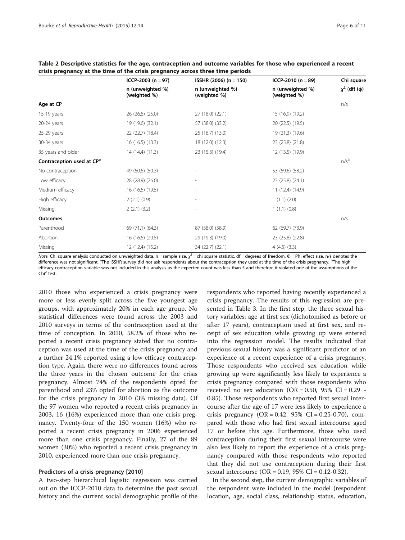|                                       | $ICCP-2003 (n = 97)$             | ISSHR (2006) ( $n = 150$ )       | $ICCP-2010 (n = 89)$             | Chi square               |  |
|---------------------------------------|----------------------------------|----------------------------------|----------------------------------|--------------------------|--|
|                                       | n (unweighted %)<br>(weighted %) | n (unweighted %)<br>(weighted %) | n (unweighted %)<br>(weighted %) | $\chi^2$ (df) ( $\phi$ ) |  |
| Age at CP                             |                                  |                                  |                                  | n/s                      |  |
| $15-19$ years                         | 26 (26.8) (25.0)                 | 27 (18.0) (22.1)                 | 15 (16.9) (19.2)                 |                          |  |
| 20-24 years                           | 19 (19.6) (32.1)                 | 57 (38.0) (33.2)                 | 20 (22.5) (19.5)                 |                          |  |
| 25-29 years                           | 22 (22.7) (18.4)                 | 25 (16.7) (13.0)                 | 19 (21.3) (19.6)                 |                          |  |
| 30-34 years                           | 16 (16.5) (13.3)                 | 18 (12.0) (12.3)                 | 23 (25.8) (21.8)                 |                          |  |
| 35 years and older                    | 14 (14.4) (11.3)                 | 23 (15.3) (19.4)                 | 12 (13.5) (19.9)                 |                          |  |
| Contraception used at CP <sup>a</sup> |                                  |                                  |                                  | n/s <sup>b</sup>         |  |
| No contraception                      | 49 (50.5) (50.3)                 |                                  | 53 (59.6) (58.2)                 |                          |  |
| Low efficacy                          | 28 (28.9) (26.0)                 |                                  | 23(25.8)(24.1)                   |                          |  |
| Medium efficacy                       | 16 (16.5) (19.5)                 |                                  | 11(12.4)(14.9)                   |                          |  |
| High efficacy                         | 2(2.1)(0.9)                      |                                  | 1(1.1)(2.0)                      |                          |  |
| Missing                               | 2(2.1)(3.2)                      |                                  | 1(1.1)(0.8)                      |                          |  |
| <b>Outcomes</b>                       |                                  |                                  |                                  | n/s                      |  |
| Parenthood                            | 69 (71.1) (64.3)                 | 87 (58.0) (58.9)                 | 62 (69.7) (73.9)                 |                          |  |
| Abortion                              | 16 (16.5) (20.5)                 | 29 (19.3) (19.0)                 | 23 (25.8) (22.8)                 |                          |  |
| Missing                               | 12 (12.4) (15.2)                 | 34 (22.7) (22.1)                 | 4(4.5)(3.3)                      |                          |  |

<span id="page-5-0"></span>Table 2 Descriptive statistics for the age, contraception and outcome variables for those who experienced a recent crisis pregnancy at the time of the crisis pregnancy across three time periods

Note. Chi square analysis conducted on unweighted data. n = sample size.  $\chi^2$  = chi square statistic. df = degrees of freedom.  $\Phi$  = Phi effect size. n/s denotes the difference was not significant, <sup>a</sup>The ISSHR survey did not ask respondents about the contraception they used at the time of the crisis pregnancy, <sup>b</sup>The high efficacy contraception variable was not included in this analysis as the expected count was less than 5 and therefore it violated one of the assumptions of the Chi2 test.

2010 those who experienced a crisis pregnancy were more or less evenly split across the five youngest age groups, with approximately 20% in each age group. No statistical differences were found across the 2003 and 2010 surveys in terms of the contraception used at the time of conception. In 2010, 58.2% of those who reported a recent crisis pregnancy stated that no contraception was used at the time of the crisis pregnancy and a further 24.1% reported using a low efficacy contraception type. Again, there were no differences found across the three years in the chosen outcome for the crisis pregnancy. Almost 74% of the respondents opted for parenthood and 23% opted for abortion as the outcome for the crisis pregnancy in 2010 (3% missing data). Of the 97 women who reported a recent crisis pregnancy in 2003, 16 (16%) experienced more than one crisis pregnancy. Twenty-four of the 150 women (16%) who reported a recent crisis pregnancy in 2006 experienced more than one crisis pregnancy. Finally, 27 of the 89 women (30%) who reported a recent crisis pregnancy in 2010, experienced more than one crisis pregnancy.

#### Predictors of a crisis pregnancy [2010]

A two-step hierarchical logistic regression was carried out on the ICCP-2010 data to determine the past sexual history and the current social demographic profile of the

respondents who reported having recently experienced a crisis pregnancy. The results of this regression are presented in Table [3.](#page-6-0) In the first step, the three sexual history variables; age at first sex (dichotomised as before or after 17 years), contraception used at first sex, and receipt of sex education while growing up were entered into the regression model. The results indicated that previous sexual history was a significant predictor of an experience of a recent experience of a crisis pregnancy. Those respondents who received sex education while growing up were significantly less likely to experience a crisis pregnancy compared with those respondents who received no sex education (OR =  $0.50$ ,  $95\%$  CI =  $0.29$  -0.85). Those respondents who reported first sexual intercourse after the age of 17 were less likely to experience a crisis pregnancy (OR =  $0.42$ , 95% CI =  $0.25 - 0.70$ ), compared with those who had first sexual intercourse aged 17 or before this age. Furthermore, those who used contraception during their first sexual intercourse were also less likely to report the experience of a crisis pregnancy compared with those respondents who reported that they did not use contraception during their first sexual intercourse (OR = 0.19, 95% CI = 0.12-0.32).

In the second step, the current demographic variables of the respondent were included in the model (respondent location, age, social class, relationship status, education,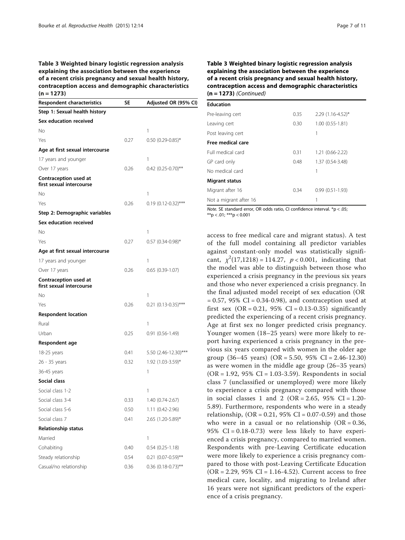#### <span id="page-6-0"></span>Table 3 Weighted binary logistic regression analysis explaining the association between the experience of a recent crisis pregnancy and sexual health history, contraception access and demographic characteristics  $(n = 1273)$

| <b>Respondent characteristics</b>                 | SΕ   | Adjusted OR (95% CI)  |
|---------------------------------------------------|------|-----------------------|
| Step 1: Sexual health history                     |      |                       |
| Sex education received                            |      |                       |
| No                                                |      | 1                     |
| Yes                                               | 0.27 | $0.50$ (0.29-0.85)*   |
| Age at first sexual intercourse                   |      |                       |
| 17 years and younger                              |      | 1                     |
| Over 17 years                                     | 0.26 | $0.42$ (0.25-0.70)**  |
| Contraception used at<br>first sexual intercourse |      |                       |
| No                                                |      | 1                     |
| Yes                                               | 0.26 | $0.19(0.12-0.32)$ *** |
| Step 2: Demographic variables                     |      |                       |
| Sex education received                            |      |                       |
| No                                                |      | 1                     |
| Yes                                               | 0.27 | $0.57$ (0.34-0.98)*   |
| Age at first sexual intercourse                   |      |                       |
| 17 years and younger                              |      | 1                     |
| Over 17 years                                     | 0.26 | $0.65(0.39-1.07)$     |
| Contraception used at<br>first sexual intercourse |      |                       |
| Nο                                                |      | 1                     |
| Yes                                               | 0.26 | $0.21$ (0.13-0.35)*** |
| <b>Respondent location</b>                        |      |                       |
| Rural                                             |      | 1                     |
| Urban                                             | 0.25 | $0.91(0.56-1.49)$     |
| Respondent age                                    |      |                       |
| 18-25 years                                       | 0.41 | 5.50 (2.46-12.30)***  |
| 26 - 35 years                                     | 0.32 | $1.92$ (1.03-3.59)*   |
| 36-45 years                                       |      | 1                     |
| Social class                                      |      |                       |
| Social class 1-2                                  |      | 1                     |
| Social class 3-4                                  | 0.33 | 1.40 (0.74-2.67)      |
| Social class 5-6                                  | 0.50 | $1.11(0.42 - 2.96)$   |
| Social class 7                                    | 0.41 | 2.65 (1.20-5.89)*     |
| <b>Relationship status</b>                        |      |                       |
| Married                                           |      | 1                     |
| Cohabiting                                        | 0.40 | $0.54(0.25-1.18)$     |
| Steady relationship                               | 0.54 | $0.21$ (0.07-0.59)**  |
| Casual/no relationship                            | 0.36 | $0.36$ (0.18-0.73)**  |

Table 3 Weighted binary logistic regression analysis explaining the association between the experience of a recent crisis pregnancy and sexual health history, contraception access and demographic characteristics  $(n = 1273)$  (Continued)

| <b>Education</b>       |      |                         |  |  |  |
|------------------------|------|-------------------------|--|--|--|
| Pre-leaving cert       | 0.35 | $2.29(1.16 - 4.52)^{*}$ |  |  |  |
| Leaving cert           | 0.30 | $1.00(0.55 - 1.81)$     |  |  |  |
| Post leaving cert      |      | 1                       |  |  |  |
| Free medical care      |      |                         |  |  |  |
| Full medical card      | 0.31 | 1.21 (0.66-2.22)        |  |  |  |
| GP card only           | 0.48 | 1.37 (0.54-3.48)        |  |  |  |
| No medical card        |      | 1                       |  |  |  |
| <b>Migrant status</b>  |      |                         |  |  |  |
| Migrant after 16       | 0.34 | $0.99(0.51-1.93)$       |  |  |  |
| Not a migrant after 16 |      | 1                       |  |  |  |

Note. SE standard error, OR odds ratio, CI confidence interval. \*p < .05;  $**p < .01; ** * p < 0.001$ 

access to free medical care and migrant status). A test of the full model containing all predictor variables against constant-only model was statistically significant,  $\chi^2(17,1218) = 114.27$ ,  $p < 0.001$ , indicating that the model was able to distinguish between those who experienced a crisis pregnancy in the previous six years and those who never experienced a crisis pregnancy. In the final adjusted model receipt of sex education (OR  $= 0.57$ , 95% CI  $= 0.34$ -0.98), and contraception used at first sex  $(OR = 0.21, 95\% \text{ CI} = 0.13-0.35)$  significantly predicted the experiencing of a recent crisis pregnancy. Age at first sex no longer predicted crisis pregnancy. Younger women (18–25 years) were more likely to report having experienced a crisis pregnancy in the previous six years compared with women in the older age group  $(36-45 \text{ years})$   $(OR = 5.50, 95\% \text{ CI} = 2.46-12.30)$ as were women in the middle age group (26–35 years)  $(OR = 1.92, 95\% CI = 1.03-3.59)$ . Respondents in social class 7 (unclassified or unemployed) were more likely to experience a crisis pregnancy compared with those in social classes 1 and 2 (OR = 2.65,  $95\%$  CI = 1.20-5.89). Furthermore, respondents who were in a steady relationship,  $(OR = 0.21, 95\% \text{ CI} = 0.07 - 0.59)$  and those who were in a casual or no relationship ( $OR = 0.36$ , 95%  $CI = 0.18 - 0.73$  were less likely to have experienced a crisis pregnancy, compared to married women. Respondents with pre-Leaving Certificate education were more likely to experience a crisis pregnancy compared to those with post-Leaving Certificate Education  $(OR = 2.29, 95\% CI = 1.16-4.52)$ . Current access to free medical care, locality, and migrating to Ireland after 16 years were not significant predictors of the experience of a crisis pregnancy.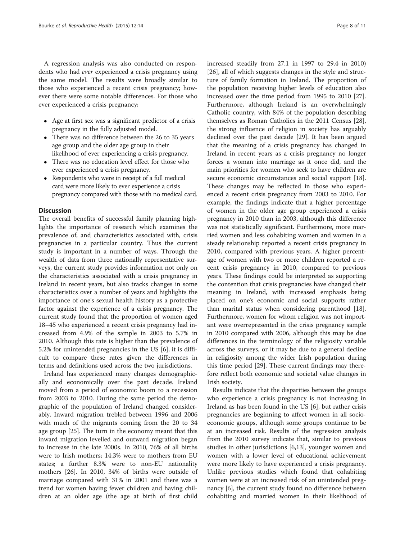A regression analysis was also conducted on respondents who had ever experienced a crisis pregnancy using the same model. The results were broadly similar to those who experienced a recent crisis pregnancy; however there were some notable differences. For those who ever experienced a crisis pregnancy;

- Age at first sex was a significant predictor of a crisis pregnancy in the fully adjusted model.
- There was no difference between the 26 to 35 years age group and the older age group in their likelihood of ever experiencing a crisis pregnancy.
- There was no education level effect for those who ever experienced a crisis pregnancy.
- Respondents who were in receipt of a full medical card were more likely to ever experience a crisis pregnancy compared with those with no medical card.

#### **Discussion**

The overall benefits of successful family planning highlights the importance of research which examines the prevalence of, and characteristics associated with, crisis pregnancies in a particular country. Thus the current study is important in a number of ways. Through the wealth of data from three nationally representative surveys, the current study provides information not only on the characteristics associated with a crisis pregnancy in Ireland in recent years, but also tracks changes in some characteristics over a number of years and highlights the importance of one's sexual health history as a protective factor against the experience of a crisis pregnancy. The current study found that the proportion of women aged 18–45 who experienced a recent crisis pregnancy had increased from 4.9% of the sample in 2003 to 5.7% in 2010. Although this rate is higher than the prevalence of 5.2% for unintended pregnancies in the US [[6](#page-9-0)], it is difficult to compare these rates given the differences in terms and definitions used across the two jurisdictions.

Ireland has experienced many changes demographically and economically over the past decade. Ireland moved from a period of economic boom to a recession from 2003 to 2010. During the same period the demographic of the population of Ireland changed considerably. Inward migration trebled between 1996 and 2006 with much of the migrants coming from the 20 to 34 age group [\[25](#page-10-0)]. The turn in the economy meant that this inward migration levelled and outward migration began to increase in the late 2000s. In 2010, 76% of all births were to Irish mothers; 14.3% were to mothers from EU states; a further 8.3% were to non-EU nationality mothers [[26](#page-10-0)]. In 2010, 34% of births were outside of marriage compared with 31% in 2001 and there was a trend for women having fewer children and having children at an older age (the age at birth of first child

increased steadily from 27.1 in 1997 to 29.4 in 2010) [[26\]](#page-10-0), all of which suggests changes in the style and structure of family formation in Ireland. The proportion of the population receiving higher levels of education also increased over the time period from 1995 to 2010 [\[27](#page-10-0)]. Furthermore, although Ireland is an overwhelmingly Catholic country, with 84% of the population describing themselves as Roman Catholics in the 2011 Census [\[28](#page-10-0)], the strong influence of religion in society has arguably declined over the past decade [\[29\]](#page-10-0). It has been argued that the meaning of a crisis pregnancy has changed in Ireland in recent years as a crisis pregnancy no longer forces a woman into marriage as it once did, and the main priorities for women who seek to have children are secure economic circumstances and social support [\[18](#page-10-0)]. These changes may be reflected in those who experienced a recent crisis pregnancy from 2003 to 2010. For example, the findings indicate that a higher percentage of women in the older age group experienced a crisis pregnancy in 2010 than in 2003, although this difference was not statistically significant. Furthermore, more married women and less cohabiting women and women in a steady relationship reported a recent crisis pregnancy in 2010, compared with previous years. A higher percentage of women with two or more children reported a recent crisis pregnancy in 2010, compared to previous years. These findings could be interpreted as supporting the contention that crisis pregnancies have changed their meaning in Ireland, with increased emphasis being placed on one's economic and social supports rather than marital status when considering parenthood [\[18](#page-10-0)]. Furthermore, women for whom religion was not important were overrepresented in the crisis pregnancy sample in 2010 compared with 2006, although this may be due differences in the terminology of the religiosity variable across the surveys, or it may be due to a general decline in religiosity among the wider Irish population during this time period [[29](#page-10-0)]. These current findings may therefore reflect both economic and societal value changes in Irish society.

Results indicate that the disparities between the groups who experience a crisis pregnancy is not increasing in Ireland as has been found in the US [[6\]](#page-9-0), but rather crisis pregnancies are beginning to affect women in all socioeconomic groups, although some groups continue to be at an increased risk. Results of the regression analysis from the 2010 survey indicate that, similar to previous studies in other jurisdictions [[6,](#page-9-0)[13\]](#page-10-0), younger women and women with a lower level of educational achievement were more likely to have experienced a crisis pregnancy. Unlike previous studies which found that cohabiting women were at an increased risk of an unintended pregnancy [[6\]](#page-9-0), the current study found no difference between cohabiting and married women in their likelihood of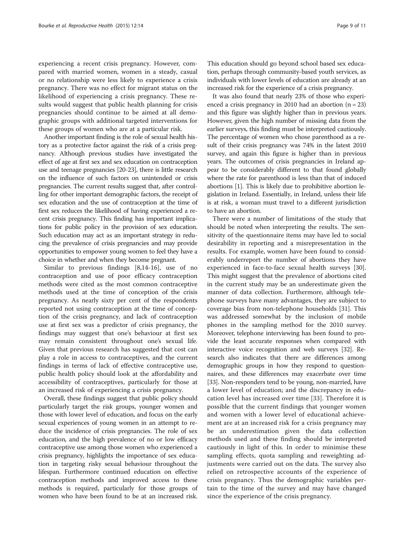experiencing a recent crisis pregnancy. However, compared with married women, women in a steady, casual or no relationship were less likely to experience a crisis pregnancy. There was no effect for migrant status on the likelihood of experiencing a crisis pregnancy. These results would suggest that public health planning for crisis pregnancies should continue to be aimed at all demographic groups with additional targeted interventions for these groups of women who are at a particular risk.

Another important finding is the role of sexual health history as a protective factor against the risk of a crisis pregnancy. Although previous studies have investigated the effect of age at first sex and sex education on contraception use and teenage pregnancies [\[20-23](#page-10-0)], there is little research on the influence of such factors on unintended or crisis pregnancies. The current results suggest that, after controlling for other important demographic factors, the receipt of sex education and the use of contraception at the time of first sex reduces the likelihood of having experienced a recent crisis pregnancy. This finding has important implications for public policy in the provision of sex education. Such education may act as an important strategy in reducing the prevalence of crisis pregnancies and may provide opportunities to empower young women to feel they have a choice in whether and when they become pregnant.

Similar to previous findings [\[8](#page-9-0)[,14](#page-10-0)-[16](#page-10-0)], use of no contraception and use of poor efficacy contraception methods were cited as the most common contraceptive methods used at the time of conception of the crisis pregnancy. As nearly sixty per cent of the respondents reported not using contraception at the time of conception of the crisis pregnancy, and lack of contraception use at first sex was a predictor of crisis pregnancy, the findings may suggest that one's behaviour at first sex may remain consistent throughout one's sexual life. Given that previous research has suggested that cost can play a role in access to contraceptives, and the current findings in terms of lack of effective contraceptive use, public health policy should look at the affordability and accessibility of contraceptives, particularly for those at an increased risk of experiencing a crisis pregnancy.

Overall, these findings suggest that public policy should particularly target the risk groups, younger women and those with lower level of education, and focus on the early sexual experiences of young women in an attempt to reduce the incidence of crisis pregnancies. The role of sex education, and the high prevalence of no or low efficacy contraceptive use among those women who experienced a crisis pregnancy, highlights the importance of sex education in targeting risky sexual behaviour throughout the lifespan. Furthermore continued education on effective contraception methods and improved access to these methods is required, particularly for those groups of women who have been found to be at an increased risk.

This education should go beyond school based sex education, perhaps through community-based youth services, as individuals with lower levels of education are already at an increased risk for the experience of a crisis pregnancy.

It was also found that nearly 23% of those who experienced a crisis pregnancy in 2010 had an abortion  $(n = 23)$ and this figure was slightly higher than in previous years. However, given the high number of missing data from the earlier surveys, this finding must be interpreted cautiously. The percentage of women who chose parenthood as a result of their crisis pregnancy was 74% in the latest 2010 survey, and again this figure is higher than in previous years. The outcomes of crisis pregnancies in Ireland appear to be considerably different to that found globally where the rate for parenthood is less than that of induced abortions [\[1](#page-9-0)]. This is likely due to prohibitive abortion legislation in Ireland. Essentially, in Ireland, unless their life is at risk, a woman must travel to a different jurisdiction to have an abortion.

There were a number of limitations of the study that should be noted when interpreting the results. The sensitivity of the questionnaire items may have led to social desirability in reporting and a misrepresentation in the results. For example, women have been found to considerably underreport the number of abortions they have experienced in face-to-face sexual health surveys [\[30](#page-10-0)]. This might suggest that the prevalence of abortions cited in the current study may be an underestimate given the manner of data collection. Furthermore, although telephone surveys have many advantages, they are subject to coverage bias from non-telephone households [[31\]](#page-10-0). This was addressed somewhat by the inclusion of mobile phones in the sampling method for the 2010 survey. Moreover, telephone interviewing has been found to provide the least accurate responses when compared with interactive voice recognition and web surveys [\[32\]](#page-10-0). Research also indicates that there are differences among demographic groups in how they respond to questionnaires, and these differences may exacerbate over time [[33](#page-10-0)]. Non-responders tend to be young, non-married, have a lower level of education; and the discrepancy in education level has increased over time [[33\]](#page-10-0). Therefore it is possible that the current findings that younger women and women with a lower level of educational achievement are at an increased risk for a crisis pregnancy may be an underestimation given the data collection methods used and these finding should be interpreted cautiously in light of this. In order to minimise these sampling effects, quota sampling and reweighting adjustments were carried out on the data. The survey also relied on retrospective accounts of the experience of crisis pregnancy. Thus the demographic variables pertain to the time of the survey and may have changed since the experience of the crisis pregnancy.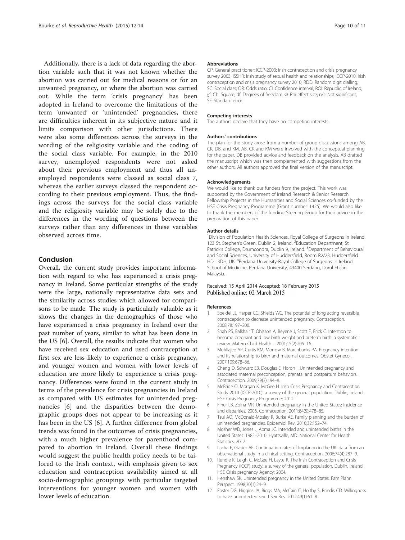<span id="page-9-0"></span>Additionally, there is a lack of data regarding the abortion variable such that it was not known whether the abortion was carried out for medical reasons or for an unwanted pregnancy, or where the abortion was carried out. While the term 'crisis pregnancy' has been adopted in Ireland to overcome the limitations of the term 'unwanted' or 'unintended' pregnancies, there are difficulties inherent in its subjective nature and it limits comparison with other jurisdictions. There were also some differences across the surveys in the wording of the religiosity variable and the coding of the social class variable. For example, in the 2010 survey, unemployed respondents were not asked about their previous employment and thus all unemployed respondents were classed as social class 7, whereas the earlier surveys classed the respondent according to their previous employment. Thus, the findings across the surveys for the social class variable and the religiosity variable may be solely due to the differences in the wording of questions between the surveys rather than any differences in these variables observed across time.

#### Conclusion

Overall, the current study provides important information with regard to who has experienced a crisis pregnancy in Ireland. Some particular strengths of the study were the large, nationally representative data sets and the similarity across studies which allowed for comparisons to be made. The study is particularly valuable as it shows the changes in the demographics of those who have experienced a crisis pregnancy in Ireland over the past number of years, similar to what has been done in the US [6]. Overall, the results indicate that women who have received sex education and used contraception at first sex are less likely to experience a crisis pregnancy, and younger women and women with lower levels of education are more likely to experience a crisis pregnancy. Differences were found in the current study in terms of the prevalence for crisis pregnancies in Ireland as compared with US estimates for unintended pregnancies [6] and the disparities between the demographic groups does not appear to be increasing as it has been in the US [6]. A further difference from global trends was found in the outcomes of crisis pregnancies, with a much higher prevalence for parenthood compared to abortion in Ireland. Overall these findings would suggest the public health policy needs to be tailored to the Irish context, with emphasis given to sex education and contraception availability aimed at all socio-demographic groupings with particular targeted interventions for younger women and women with lower levels of education.

#### **Abbreviations**

GP: General practitioner; ICCP-2003: Irish contraception and crisis pregnancy survey 2003; ISSHR: Irish study of sexual health and relationships; ICCP-2010: Irish contraception and crisis pregnancy survey 2010; RDD: Random digit dialling; SC: Social class; OR: Odds ratio; CI: Confidence interval; ROI: Republic of Ireland;  $\chi^2$ : Chi Square; df: Degrees of freedom; Φ: Phi effect size; n/s: Not significant; SE: Standard error.

#### Competing interests

The authors declare that they have no competing interests.

#### Authors' contributions

The plan for the study arose from a number of group discussions among AB, CK, DB, and KM. AB, CK and KM were involved with the conceptual planning for the paper. DB provided advice and feedback on the analysis. AB drafted the manuscript which was then complemented with suggestions from the other authors. All authors approved the final version of the manuscript.

#### Acknowledgements

We would like to thank our funders from the project. This work was supported by the Government of Ireland Research & Senior Research Fellowship Projects in the Humanities and Social Sciences co-funded by the HSE Crisis Pregnancy Programme [Grant number: 1425]. We would also like to thank the members of the funding Steering Group for their advice in the preparation of this paper.

#### Author details

<sup>1</sup> Division of Population Health Sciences, Royal College of Surgeons in Ireland, 123 St. Stephen's Green, Dublin 2, Ireland. <sup>2</sup>Education Department, St Patrick's College, Drumcondra, Dublin 9, Ireland. <sup>3</sup>Department of Behavioural and Social Sciences, University of Huddersfield, Room R2/23, Huddersfield HD1 3DH, UK. <sup>4</sup>Perdana University-Royal College of Surgeons in Ireland School of Medicine, Perdana University, 43400 Serdang, Darul Ehsan, Malaysia.

#### Received: 15 April 2014 Accepted: 18 February 2015 Published online: 02 March 2015

#### References

- 1. Speidel JJ, Harper CC, Shields WC. The potential of long acting reversible contraception to decrease unintended pregnancy. Contraception. 2008;78:197–200.
- 2. Shah PS, Balkhair T, Ohlsson A, Beyene J, Scott F, Frick C. Intention to become pregnant and low birth weight and preterm birth: a systematic review. Matern Child Health J. 2001;15(2):205–16.
- 3. Mohllajee AP, Curtis KM, Morrow B, Marchbanks PA. Pregnancy intention and its relationship to birth and maternal outcomes. Obstet Gynecol. 2007;109:678–86.
- 4. Cheng D, Schwarz EB, Douglas E, Horon I. Unintended pregnancy and associated maternal preconception, prenatal and postpartum behaviors. Contraception. 2009;79(3):194–8.
- 5. McBride O, Morgan K, McGee H. Irish Crisis Pregnancy and Contraception Study 2010 (ICCP-2010): a survey of the general population. Dublin, Ireland: HSE Crisis Pregnancy Programme; 2012.
- 6. Finer LB, Zolna MR. Unintended pregnancy in the United States: incidence and disparities, 2006. Contraception. 2011;84(5):478–85.
- 7. Tsui AO, McDonald-Mosley R, Burke AE. Family planning and the burden of unintended pregnancies. Epidemiol Rev. 2010;32:152–74.
- 8. Mosher WD, Jones J, Abma JC. Intended and unintended births in the United States: 1982–2010. Hyattsville, MD: National Center for Health Statistics; 2012.
- 9. Lakha F, Glasier AF. Continuation rates of Implanon in the UK: data from an observational study in a clinical setting. Contraception. 2006;74(4):287–9.
- 10. Rundle K, Leigh C, McGee H, Layte R. The Irish Contraception and Crisis Pregnancy (ICCP) study: a survey of the general population. Dublin, Ireland: HSE Crisis pregnancy Agency; 2004.
- 11. Henshaw SK. Unintended pregnancy in the United States. Fam Plann Perspect. 1998;30(1):24–9.
- 12. Foster DG, Higgins JA, Biggs MA, McCain C, Holtby S, Brindis CD. Willingness to have unprotected sex. J Sex Res. 2012;49(1):61–8.